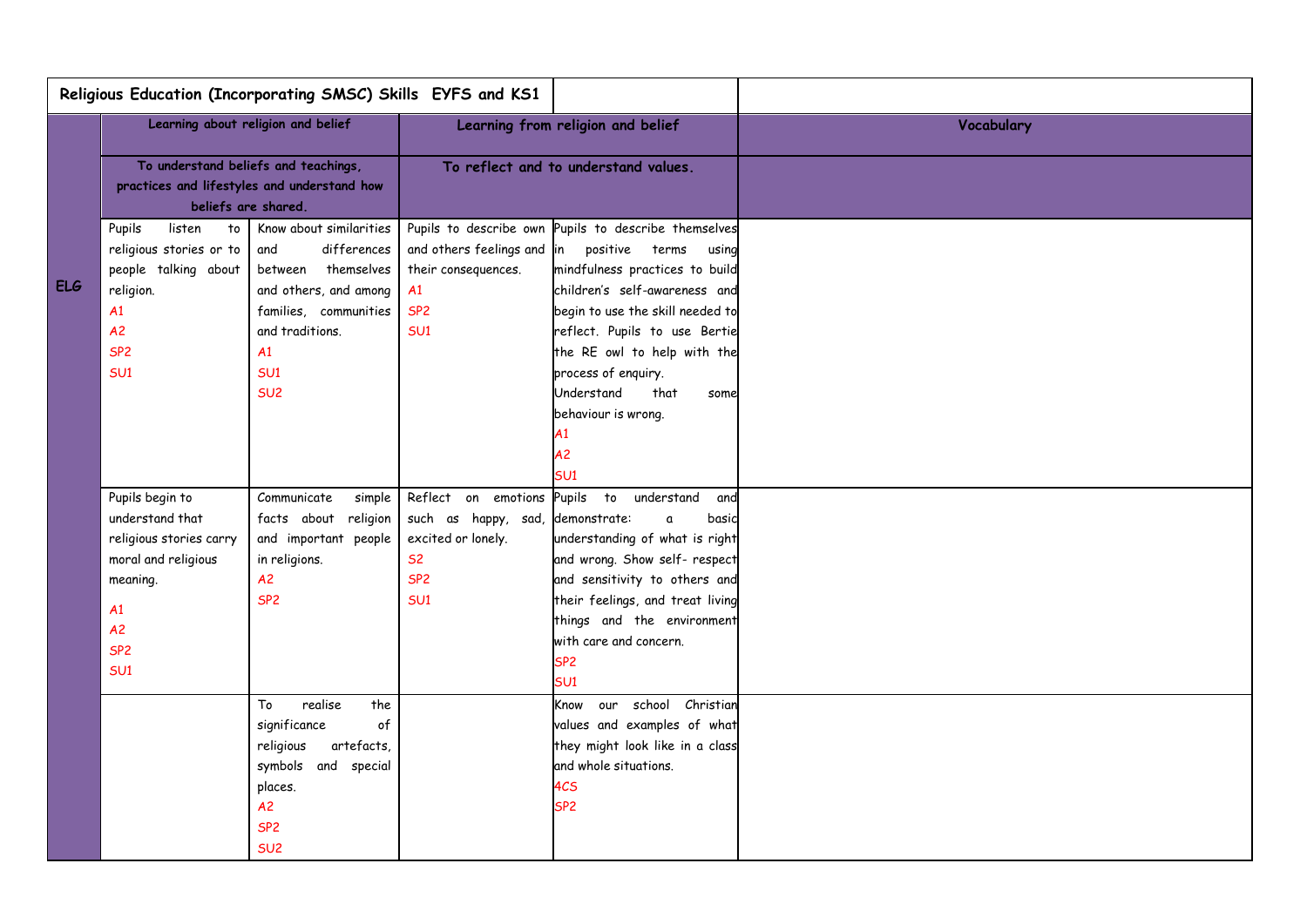| Religious Education (Incorporating SMSC) Skills EYFS and KS1 |                                                                                                                                                    |                                                                                                                                                                                      |                                                                                                  |                                                                                                                                                                                                                                                                                                                                                 |            |
|--------------------------------------------------------------|----------------------------------------------------------------------------------------------------------------------------------------------------|--------------------------------------------------------------------------------------------------------------------------------------------------------------------------------------|--------------------------------------------------------------------------------------------------|-------------------------------------------------------------------------------------------------------------------------------------------------------------------------------------------------------------------------------------------------------------------------------------------------------------------------------------------------|------------|
| <b>ELG</b>                                                   | Learning about religion and belief                                                                                                                 |                                                                                                                                                                                      |                                                                                                  | Learning from religion and belief                                                                                                                                                                                                                                                                                                               | Vocabulary |
|                                                              | To understand beliefs and teachings,<br>practices and lifestyles and understand how<br>beliefs are shared.                                         |                                                                                                                                                                                      | To reflect and to understand values.                                                             |                                                                                                                                                                                                                                                                                                                                                 |            |
|                                                              | listen<br>to<br>Pupils<br>religious stories or to<br>people talking about<br>religion.<br>A1<br>A2<br>SP <sub>2</sub><br>SU <sub>1</sub>           | Know about similarities<br>and<br>differences<br>between themselves<br>and others, and among<br>families, communities<br>and traditions.<br>A1<br>SU <sub>1</sub><br>SU <sub>2</sub> | and others feelings and in positive terms<br>their consequences.<br>A1<br>SP <sub>2</sub><br>SU1 | Pupils to describe own Pupils to describe themselves<br>using<br>mindfulness practices to build<br>children's self-awareness and<br>begin to use the skill needed to<br>reflect. Pupils to use Bertie<br>the RE owl to help with the<br>process of enquiry.<br>that<br>Understand<br>some<br>behaviour is wrong.<br>A1<br>A <sub>2</sub><br>SU1 |            |
|                                                              | Pupils begin to<br>understand that<br>religious stories carry<br>moral and religious<br>meaning.<br>A1<br>A2<br>SP <sub>2</sub><br>SU <sub>1</sub> | Communicate<br>simple<br>facts about religion<br>and important people<br>in religions.<br>A2<br>SP <sub>2</sub>                                                                      | such as happy, sad,<br>excited or lonely.<br><b>S2</b><br>SP <sub>2</sub><br>SU1                 | Reflect on emotions Pupils to understand<br>and<br>demonstrate:<br>basic<br>a<br>understanding of what is right<br>and wrong. Show self- respect<br>and sensitivity to others and<br>their feelings, and treat living<br>things and the environment<br>with care and concern.<br>SP <sub>2</sub><br>SU <sub>1</sub>                             |            |
|                                                              |                                                                                                                                                    | To<br>realise<br>the<br>significance<br>$\circ f$<br>religious<br>artefacts,<br>symbols and special<br>places.<br>A2<br>SP <sub>2</sub><br>SU <sub>2</sub>                           |                                                                                                  | Know our school Christian<br>values and examples of what<br>they might look like in a class<br>and whole situations.<br>4CS<br>SP <sub>2</sub>                                                                                                                                                                                                  |            |